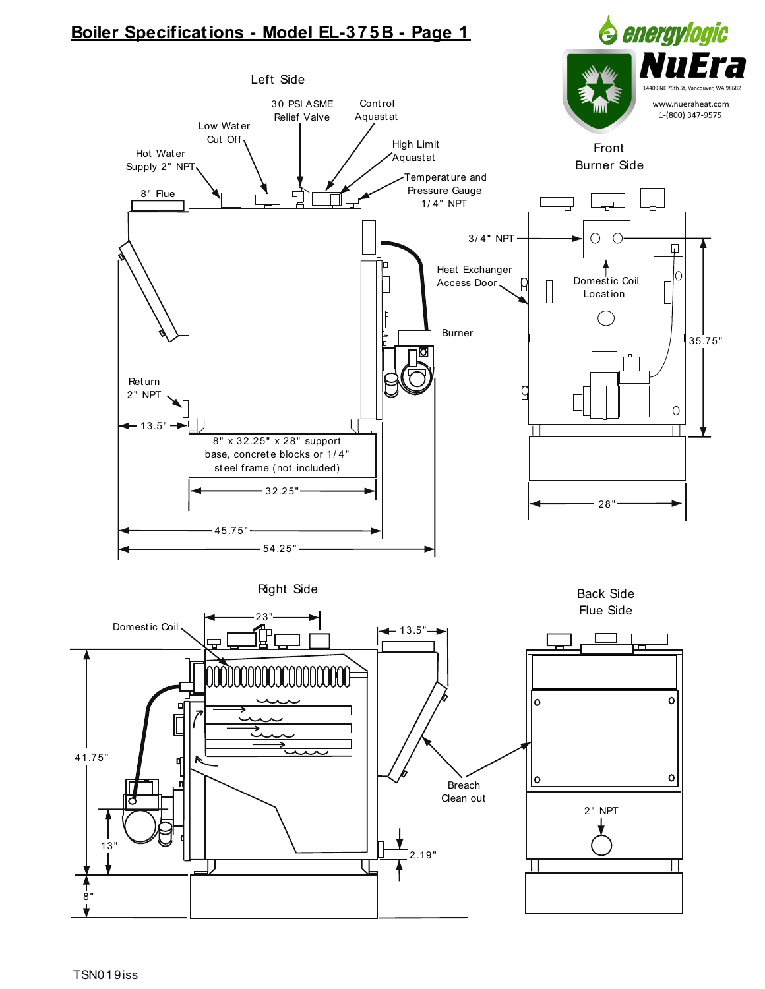# Boiler Specifications - Model EL-375B - Page 1